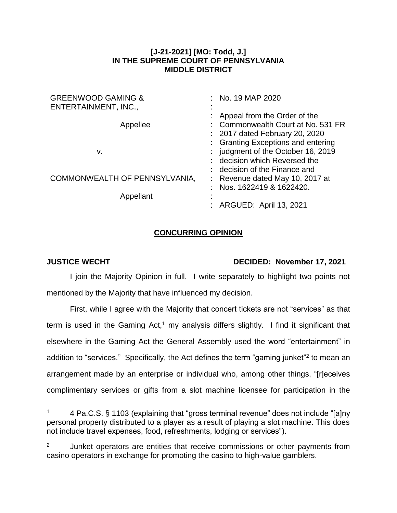## **[J-21-2021] [MO: Todd, J.] IN THE SUPREME COURT OF PENNSYLVANIA MIDDLE DISTRICT**

| <b>GREENWOOD GAMING &amp;</b> | : No. 19 MAP 2020                  |
|-------------------------------|------------------------------------|
| ENTERTAINMENT, INC.,          |                                    |
|                               | Appeal from the Order of the       |
| Appellee                      | : Commonwealth Court at No. 531 FR |
|                               | : 2017 dated February 20, 2020     |
|                               | : Granting Exceptions and entering |
| v.                            | : judgment of the October 16, 2019 |
|                               | : decision which Reversed the      |
|                               | : decision of the Finance and      |
| COMMONWEALTH OF PENNSYLVANIA, | : Revenue dated May 10, 2017 at    |
|                               | Nos. 1622419 & 1622420.            |
| Appellant                     |                                    |
|                               | ARGUED: April 13, 2021             |

## **CONCURRING OPINION**

 $\overline{a}$ 

## **JUSTICE WECHT DECIDED: November 17, 2021**

I join the Majority Opinion in full. I write separately to highlight two points not mentioned by the Majority that have influenced my decision.

First, while I agree with the Majority that concert tickets are not "services" as that term is used in the Gaming Act,<sup>1</sup> my analysis differs slightly. I find it significant that elsewhere in the Gaming Act the General Assembly used the word "entertainment" in addition to "services." Specifically, the Act defines the term "gaming junket"<sup>2</sup> to mean an arrangement made by an enterprise or individual who, among other things, "[r]eceives complimentary services or gifts from a slot machine licensee for participation in the

<sup>&</sup>lt;sup>1</sup> 4 Pa.C.S. § 1103 (explaining that "gross terminal revenue" does not include "[a]ny personal property distributed to a player as a result of playing a slot machine. This does not include travel expenses, food, refreshments, lodging or services").

 $2^2$  Junket operators are entities that receive commissions or other payments from casino operators in exchange for promoting the casino to high-value gamblers.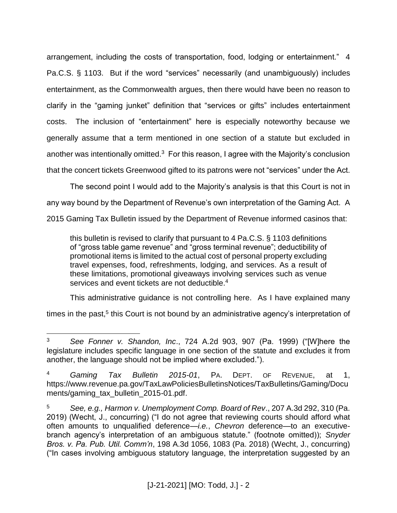arrangement, including the costs of transportation, food, lodging or entertainment." 4 Pa.C.S. § 1103. But if the word "services" necessarily (and unambiguously) includes entertainment, as the Commonwealth argues, then there would have been no reason to clarify in the "gaming junket" definition that "services or gifts" includes entertainment costs. The inclusion of "entertainment" here is especially noteworthy because we generally assume that a term mentioned in one section of a statute but excluded in another was intentionally omitted.<sup>3</sup> For this reason, I agree with the Majority's conclusion that the concert tickets Greenwood gifted to its patrons were not "services" under the Act.

The second point I would add to the Majority's analysis is that this Court is not in any way bound by the Department of Revenue's own interpretation of the Gaming Act. A 2015 Gaming Tax Bulletin issued by the Department of Revenue informed casinos that:

this bulletin is revised to clarify that pursuant to 4 Pa.C.S. § 1103 definitions of "gross table game revenue" and "gross terminal revenue"; deductibility of promotional items is limited to the actual cost of personal property excluding travel expenses, food, refreshments, lodging, and services. As a result of these limitations, promotional giveaways involving services such as venue services and event tickets are not deductible.<sup>4</sup>

This administrative guidance is not controlling here. As I have explained many

times in the past,<sup>5</sup> this Court is not bound by an administrative agency's interpretation of

 $\overline{a}$ <sup>3</sup> *See Fonner v. Shandon, Inc*., 724 A.2d 903, 907 (Pa. 1999) ("[W]here the legislature includes specific language in one section of the statute and excludes it from another, the language should not be implied where excluded.").

<sup>4</sup> *Gaming Tax Bulletin 2015-01*, PA. DEPT. OF REVENUE, at 1, https://www.revenue.pa.gov/TaxLawPoliciesBulletinsNotices/TaxBulletins/Gaming/Docu ments/gaming\_tax\_bulletin\_2015-01.pdf.

<sup>5</sup> *See, e.g., Harmon v. Unemployment Comp. Board of Rev*., 207 A.3d 292, 310 (Pa. 2019) (Wecht, J., concurring) ("I do not agree that reviewing courts should afford what often amounts to unqualified deference—*i.e.*, *Chevron* deference—to an executivebranch agency's interpretation of an ambiguous statute." (footnote omitted)); *Snyder Bros. v. Pa. Pub. Util. Comm'n*, 198 A.3d 1056, 1083 (Pa. 2018) (Wecht, J., concurring) ("In cases involving ambiguous statutory language, the interpretation suggested by an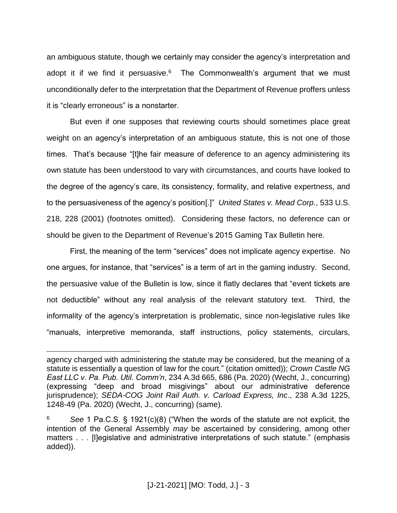an ambiguous statute, though we certainly may consider the agency's interpretation and adopt it if we find it persuasive.<sup>6</sup> The Commonwealth's argument that we must unconditionally defer to the interpretation that the Department of Revenue proffers unless it is "clearly erroneous" is a nonstarter.

But even if one supposes that reviewing courts should sometimes place great weight on an agency's interpretation of an ambiguous statute, this is not one of those times. That's because "[t]he fair measure of deference to an agency administering its own statute has been understood to vary with circumstances, and courts have looked to the degree of the agency's care, its consistency, formality, and relative expertness, and to the persuasiveness of the agency's position[.]" *United States v. Mead Corp.*, 533 U.S. 218, 228 (2001) (footnotes omitted). Considering these factors, no deference can or should be given to the Department of Revenue's 2015 Gaming Tax Bulletin here.

First, the meaning of the term "services" does not implicate agency expertise. No one argues, for instance, that "services" is a term of art in the gaming industry. Second, the persuasive value of the Bulletin is low, since it flatly declares that "event tickets are not deductible" without any real analysis of the relevant statutory text. Third, the informality of the agency's interpretation is problematic, since non-legislative rules like "manuals, interpretive memoranda, staff instructions, policy statements, circulars,

 $\overline{a}$ 

agency charged with administering the statute may be considered, but the meaning of a statute is essentially a question of law for the court." (citation omitted)); *Crown Castle NG East LLC v. Pa. Pub. Util. Comm'n*, 234 A.3d 665, 686 (Pa. 2020) (Wecht, J., concurring) (expressing "deep and broad misgivings" about our administrative deference jurisprudence); *SEDA-COG Joint Rail Auth. v. Carload Express, Inc*., 238 A.3d 1225, 1248-49 (Pa. 2020) (Wecht, J., concurring) (same).

<sup>6</sup> *See* 1 Pa.C.S. § 1921(c)(8) ("When the words of the statute are not explicit, the intention of the General Assembly *may* be ascertained by considering, among other matters . . . [I]egislative and administrative interpretations of such statute." (emphasis added)).